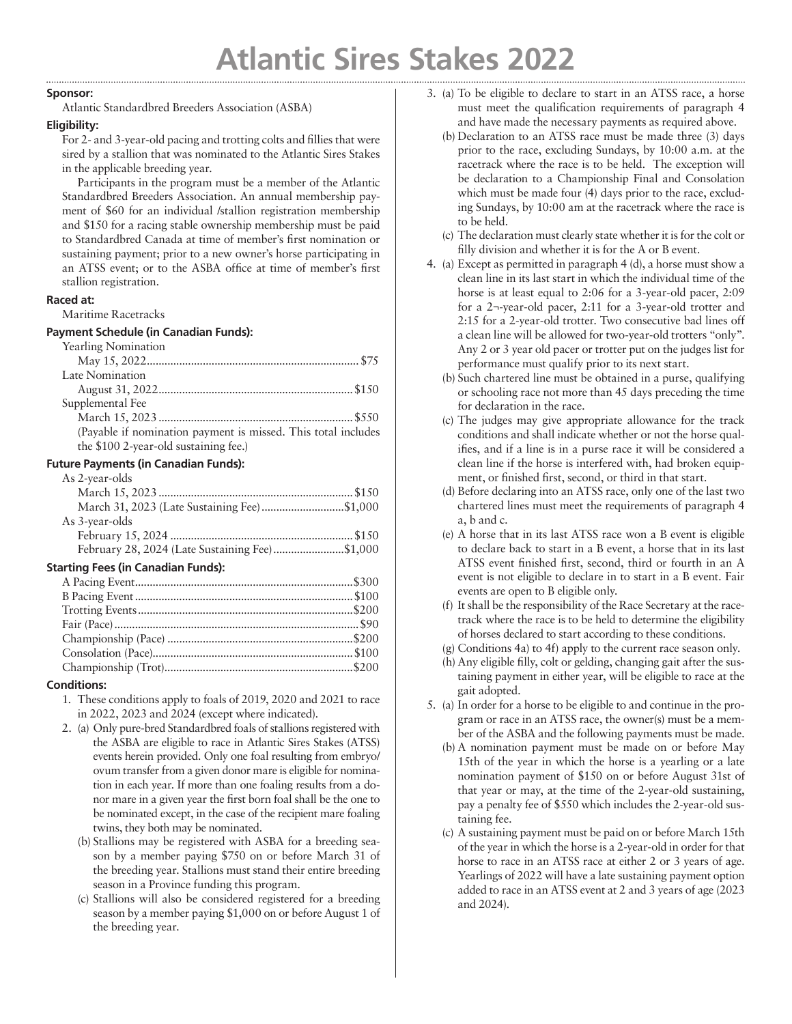### **Sponsor:**

Atlantic Standardbred Breeders Association (ASBA)

## **Eligibility:**

For 2- and 3-year-old pacing and trotting colts and fillies that were sired by a stallion that was nominated to the Atlantic Sires Stakes in the applicable breeding year.

Participants in the program must be a member of the Atlantic Standardbred Breeders Association. An annual membership payment of \$60 for an individual /stallion registration membership and \$150 for a racing stable ownership membership must be paid to Standardbred Canada at time of member's first nomination or sustaining payment; prior to a new owner's horse participating in an ATSS event; or to the ASBA office at time of member's first stallion registration.

### **Raced at:**

Maritime Racetracks

### **Payment Schedule (in Canadian Funds):**

Yearling Nomination

| (Payable if nomination payment is missed. This total includes |
|---------------------------------------------------------------|
|                                                               |
|                                                               |

# **Future Payments (in Canadian Funds):**

| As 2-year-olds  |       |
|-----------------|-------|
| March $15.2023$ | \$150 |

| March 31, 2023 (Late Sustaining Fee)\$1,000    |  |
|------------------------------------------------|--|
| As 3-vear-olds                                 |  |
|                                                |  |
| February 28, 2024 (Late Sustaining Fee)\$1,000 |  |

# **Starting Fees (in Canadian Funds):**

# **Conditions:**

- 1. These conditions apply to foals of 2019, 2020 and 2021 to race in 2022, 2023 and 2024 (except where indicated).
- 2. (a) Only pure-bred Standardbred foals of stallions registered with the ASBA are eligible to race in Atlantic Sires Stakes (ATSS) events herein provided. Only one foal resulting from embryo/ ovum transfer from a given donor mare is eligible for nomination in each year. If more than one foaling results from a donor mare in a given year the first born foal shall be the one to be nominated except, in the case of the recipient mare foaling twins, they both may be nominated.
	- (b) Stallions may be registered with ASBA for a breeding season by a member paying \$750 on or before March 31 of the breeding year. Stallions must stand their entire breeding season in a Province funding this program.
	- (c) Stallions will also be considered registered for a breeding season by a member paying \$1,000 on or before August 1 of the breeding year.
- 3. (a) To be eligible to declare to start in an ATSS race, a horse must meet the qualification requirements of paragraph 4 and have made the necessary payments as required above.
	- (b) Declaration to an ATSS race must be made three (3) days prior to the race, excluding Sundays, by 10:00 a.m. at the racetrack where the race is to be held. The exception will be declaration to a Championship Final and Consolation which must be made four (4) days prior to the race, excluding Sundays, by 10:00 am at the racetrack where the race is to be held.
	- (c) The declaration must clearly state whether it is for the colt or filly division and whether it is for the A or B event.
- 4. (a) Except as permitted in paragraph 4 (d), a horse must show a clean line in its last start in which the individual time of the horse is at least equal to 2:06 for a 3-year-old pacer, 2:09 for a 2¬-year-old pacer, 2:11 for a 3-year-old trotter and 2:15 for a 2-year-old trotter. Two consecutive bad lines off a clean line will be allowed for two-year-old trotters "only". Any 2 or 3 year old pacer or trotter put on the judges list for performance must qualify prior to its next start.
	- (b) Such chartered line must be obtained in a purse, qualifying or schooling race not more than 45 days preceding the time for declaration in the race.
	- (c) The judges may give appropriate allowance for the track conditions and shall indicate whether or not the horse qualifies, and if a line is in a purse race it will be considered a clean line if the horse is interfered with, had broken equipment, or finished first, second, or third in that start.
	- (d) Before declaring into an ATSS race, only one of the last two chartered lines must meet the requirements of paragraph 4 a, b and c.
	- (e) A horse that in its last ATSS race won a B event is eligible to declare back to start in a B event, a horse that in its last ATSS event finished first, second, third or fourth in an A event is not eligible to declare in to start in a B event. Fair events are open to B eligible only.
	- (f) It shall be the responsibility of the Race Secretary at the racetrack where the race is to be held to determine the eligibility of horses declared to start according to these conditions.
	- (g) Conditions 4a) to 4f) apply to the current race season only.
	- (h) Any eligible filly, colt or gelding, changing gait after the sustaining payment in either year, will be eligible to race at the gait adopted.
- 5. (a) In order for a horse to be eligible to and continue in the program or race in an ATSS race, the owner(s) must be a member of the ASBA and the following payments must be made.
	- (b) A nomination payment must be made on or before May 15th of the year in which the horse is a yearling or a late nomination payment of \$150 on or before August 31st of that year or may, at the time of the 2-year-old sustaining, pay a penalty fee of \$550 which includes the 2-year-old sustaining fee.
	- (c) A sustaining payment must be paid on or before March 15th of the year in which the horse is a 2-year-old in order for that horse to race in an ATSS race at either 2 or 3 years of age. Yearlings of 2022 will have a late sustaining payment option added to race in an ATSS event at 2 and 3 years of age (2023 and 2024).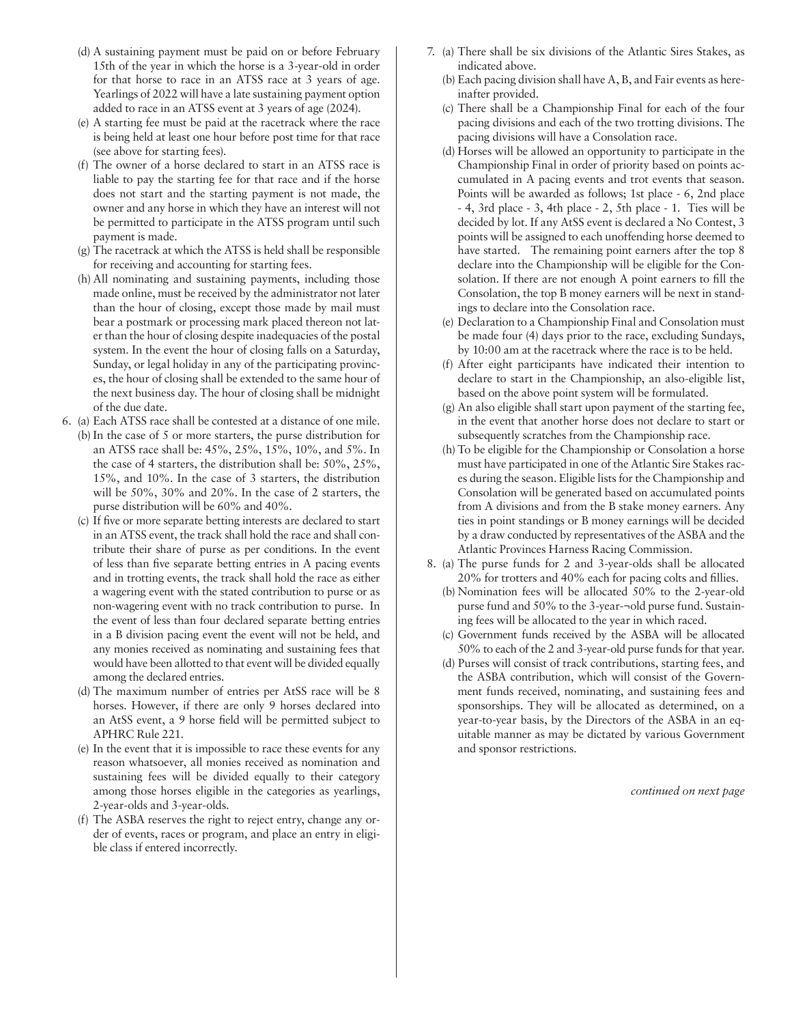- (d) A sustaining payment must be paid on or before February 15th of the year in which the horse is a 3-year-old in order for that horse to race in an ATSS race at 3 years of age. Yearlings of 2022 will have a late sustaining payment option added to race in an ATSS event at 3 years of age (2024).
- (e) A starting fee must be paid at the racetrack where the race is being held at least one hour before post time for that race (see above for starting fees).
- (f) The owner of a horse declared to start in an ATSS race is liable to pay the starting fee for that race and if the horse does not start and the starting payment is not made, the owner and any horse in which they have an interest will not be permitted to participate in the ATSS program until such payment is made.
- (g) The racetrack at which the ATSS is held shall be responsible for receiving and accounting for starting fees.
- (h) All nominating and sustaining payments, including those made online, must be received by the administrator not later than the hour of closing, except those made by mail must bear a postmark or processing mark placed thereon not later than the hour of closing despite inadequacies of the postal system. In the event the hour of closing falls on a Saturday, Sunday, or legal holiday in any of the participating provinces, the hour of closing shall be extended to the same hour of the next business day. The hour of closing shall be midnight of the due date.
- 6. (a) Each ATSS race shall be contested at a distance of one mile. (b) In the case of 5 or more starters, the purse distribution for an ATSS race shall be: 45%, 25%, 15%, 10%, and 5%. In the case of 4 starters, the distribution shall be: 50%, 25%, 15%, and 10%. In the case of 3 starters, the distribution will be 50%, 30% and 20%. In the case of 2 starters, the purse distribution will be 60% and 40%.
	- (c) If five or more separate betting interests are declared to start in an ATSS event, the track shall hold the race and shall contribute their share of purse as per conditions. In the event of less than five separate betting entries in A pacing events and in trotting events, the track shall hold the race as either a wagering event with the stated contribution to purse or as non-wagering event with no track contribution to purse. In the event of less than four declared separate betting entries in a B division pacing event the event will not be held, and any monies received as nominating and sustaining fees that would have been allotted to that event will be divided equally among the declared entries.
	- (d) The maximum number of entries per AtSS race will be 8 horses. However, if there are only 9 horses declared into an AtSS event, a 9 horse field will be permitted subject to APHRC Rule 221.
	- (e) In the event that it is impossible to race these events for any reason whatsoever, all monies received as nomination and sustaining fees will be divided equally to their category among those horses eligible in the categories as yearlings, 2-year-olds and 3-year-olds.
	- (f) The ASBA reserves the right to reject entry, change any order of events, races or program, and place an entry in eligible class if entered incorrectly.
- 7. (a) There shall be six divisions of the Atlantic Sires Stakes, as indicated above.
	- (b) Each pacing division shall have A, B, and Fair events as hereinafter provided.
	- (c) There shall be a Championship Final for each of the four pacing divisions and each of the two trotting divisions. The pacing divisions will have a Consolation race.
	- (d) Horses will be allowed an opportunity to participate in the Championship Final in order of priority based on points accumulated in A pacing events and trot events that season. Points will be awarded as follows; 1st place - 6, 2nd place - 4, 3rd place - 3, 4th place - 2, 5th place - 1. Ties will be decided by lot. If any AtSS event is declared a No Contest, 3 points will be assigned to each unoffending horse deemed to have started. The remaining point earners after the top 8 declare into the Championship will be eligible for the Consolation. If there are not enough A point earners to fill the Consolation, the top B money earners will be next in standings to declare into the Consolation race.
	- (e) Declaration to a Championship Final and Consolation must be made four (4) days prior to the race, excluding Sundays, by 10:00 am at the racetrack where the race is to be held.
	- (f) After eight participants have indicated their intention to declare to start in the Championship, an also-eligible list, based on the above point system will be formulated.
	- (g) An also eligible shall start upon payment of the starting fee, in the event that another horse does not declare to start or subsequently scratches from the Championship race.
	- (h) To be eligible for the Championship or Consolation a horse must have participated in one of the Atlantic Sire Stakes races during the season. Eligible lists for the Championship and Consolation will be generated based on accumulated points from A divisions and from the B stake money earners. Any ties in point standings or B money earnings will be decided by a draw conducted by representatives of the ASBA and the Atlantic Provinces Harness Racing Commission.
- 8. (a) The purse funds for 2 and 3-year-olds shall be allocated 20% for trotters and 40% each for pacing colts and fillies.
	- (b) Nomination fees will be allocated 50% to the 2-year-old purse fund and 50% to the 3-year-¬old purse fund. Sustaining fees will be allocated to the year in which raced.
	- (c) Government funds received by the ASBA will be allocated 50% to each of the 2 and 3-year-old purse funds for that year.
	- (d) Purses will consist of track contributions, starting fees, and the ASBA contribution, which will consist of the Government funds received, nominating, and sustaining fees and sponsorships. They will be allocated as determined, on a year-to-year basis, by the Directors of the ASBA in an equitable manner as may be dictated by various Government and sponsor restrictions.

*continued on next page*